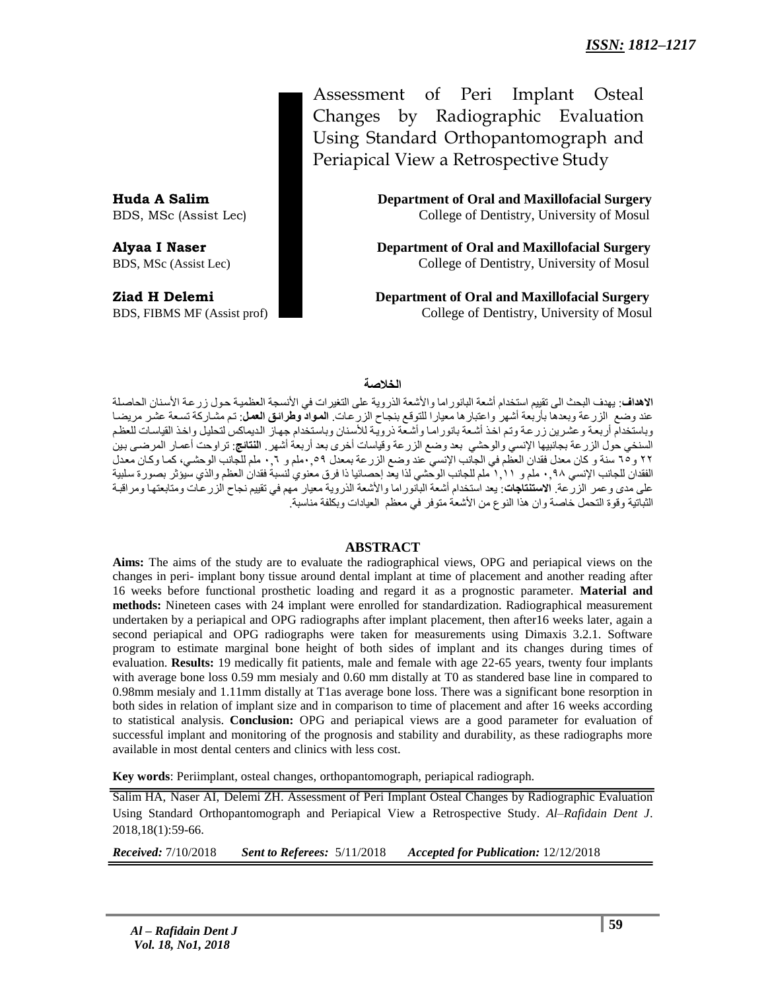Assessment of Peri Implant Osteal Changes by Radiographic Evaluation Using Standard Orthopantomograph and Periapical View a Retrospective Study

**Huda A Salim Department of Oral and Maxillofacial Surgery** BDS, MSc (Assist Lec) College of Dentistry, University of Mosul

**Alyaa I Naser Department of Oral and Maxillofacial Surgery** BDS, MSc (Assist Lec) College of Dentistry, University of Mosul

**Ziad H Delemi Department of Oral and Maxillofacial Surgery** BDS, FIBMS MF (Assist prof) College of Dentistry, University of Mosul

## **الخالصة**

**الاهداف**: يهدف البحث الى تقييم استخدام أشعة البانور اما والأشعة الذروية على التغير ات في الأنسجة العظمية حول زرعة الأسنان الحاصلة عند وضع الزرعة وبعدها بأربعة أشهر واعتبارها معيارا للتوقع بنجاح الزرعات. ا**لمواد وطرائق العمل**: تم مشاركة تسعة عشر مريضا وباستخدام أربعة وعشرين زرعة وتم اخذ أشعة بانوراما وأشعة ذروية للأسنان وباستخدام جهاز الديماكس لتحليل واخذ القياسات للعظم السنخي حول الزرعة بجانبيها الإنسي والوحشي بعد وضع الزرعة وقياسات أخرى بعد أربعة أشهر . **النتائج**: تراوحت أعمار المرضى بينُ 2۲ و10 سنة و كان معدل فقدان العظم في الجانب الإنسي عند وضع الزرعة بمعدل ٠,٩٩ملم و ٠,٦ ملم للجانب الوحشي، كما وكان معدل الفقدان للجانب الإنسي 90 ملن و 1\10 هلن للجانب الوحشي لذا يعد إحصائيا ذا فرق معنوي لنسبة فقدان العظم والذي سيؤثر بصورة سلبية على مدى وعمر الزرعة الا**ستنتاجات**: يعد استخدام أشعة البالوراما والأشعة الذروية معيار مهم في تقييم نجاح الزرعات ومتابعتها ومراقبة الثباتية وقوة التحمل خاصة وان هذا النوع من الأشعة متوفر في معظم العيادات وبكلفة مناسبة.

#### **ABSTRACT**

**Aims:** The aims of the study are to evaluate the radiographical views, OPG and periapical views on the changes in peri- implant bony tissue around dental implant at time of placement and another reading after 16 weeks before functional prosthetic loading and regard it as a prognostic parameter. **Material and methods:** Nineteen cases with 24 implant were enrolled for standardization. Radiographical measurement undertaken by a periapical and OPG radiographs after implant placement, then after16 weeks later, again a second periapical and OPG radiographs were taken for measurements using Dimaxis 3.2.1. Software program to estimate marginal bone height of both sides of implant and its changes during times of evaluation. **Results:** 19 medically fit patients, male and female with age 22-65 years, twenty four implants with average bone loss 0.59 mm mesialy and 0.60 mm distally at T0 as standered base line in compared to 0.98mm mesialy and 1.11mm distally at T1as average bone loss. There was a significant bone resorption in both sides in relation of implant size and in comparison to time of placement and after 16 weeks according to statistical analysis. **Conclusion:** OPG and periapical views are a good parameter for evaluation of successful implant and monitoring of the prognosis and stability and durability, as these radiographs more available in most dental centers and clinics with less cost.

**Key words**: Periimplant, osteal changes, orthopantomograph, periapical radiograph.

Salim HA, Naser AI, Delemi ZH. Assessment of Peri Implant Osteal Changes by Radiographic Evaluation Using Standard Orthopantomograph and Periapical View a Retrospective Study. *Al–Rafidain Dent J*. 2018,18(1):59-66.

*Received:* 7/10/2018 *Sent to Referees:* 5/11/2018 *Accepted for Publication:* 12/12/2018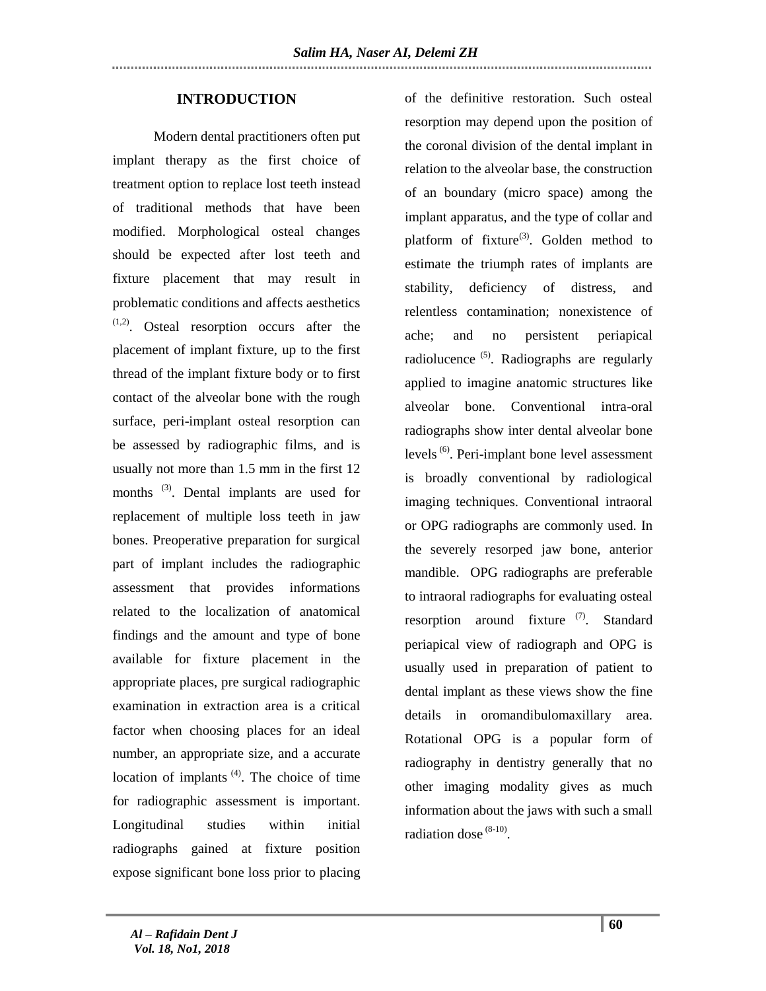## **INTRODUCTION**

 Modern dental practitioners often put implant therapy as the first choice of treatment option to replace lost teeth instead of traditional methods that have been modified. Morphological osteal changes should be expected after lost teeth and fixture placement that may result in problematic conditions and affects aesthetics (1,2). Osteal resorption occurs after the placement of implant fixture, up to the first thread of the implant fixture body or to first contact of the alveolar bone with the rough surface, peri-implant osteal resorption can be assessed by radiographic films, and is usually not more than 1.5 mm in the first 12 months <sup>(3)</sup>. Dental implants are used for replacement of multiple loss teeth in jaw bones. Preoperative preparation for surgical part of implant includes the radiographic assessment that provides informations related to the localization of anatomical findings and the amount and type of bone available for fixture placement in the appropriate places, pre surgical radiographic examination in extraction area is a critical factor when choosing places for an ideal number, an appropriate size, and a accurate location of implants  $(4)$ . The choice of time for radiographic assessment is important. Longitudinal studies within initial radiographs gained at fixture position expose significant bone loss prior to placing

of the definitive restoration. Such osteal resorption may depend upon the position of the coronal division of the dental implant in relation to the alveolar base, the construction of an boundary (micro space) among the implant apparatus, and the type of collar and platform of fixture<sup>(3)</sup>. Golden method to estimate the triumph rates of implants are stability, deficiency of distress, and relentless contamination; nonexistence of ache; and no persistent periapical radiolucence<sup>(5)</sup>. Radiographs are regularly applied to imagine anatomic structures like alveolar bone. Conventional intra-oral radiographs show inter dental alveolar bone levels<sup>(6)</sup>. Peri-implant bone level assessment is broadly conventional by radiological imaging techniques. Conventional intraoral or OPG radiographs are commonly used. In the severely resorped jaw bone, anterior mandible. OPG radiographs are preferable to intraoral radiographs for evaluating osteal resorption around fixture <sup>(7)</sup>. Standard periapical view of radiograph and OPG is usually used in preparation of patient to dental implant as these views show the fine details in oromandibulomaxillary area. Rotational OPG is a popular form of radiography in dentistry generally that no other imaging modality gives as much information about the jaws with such a small radiation dose  $(8-10)$ .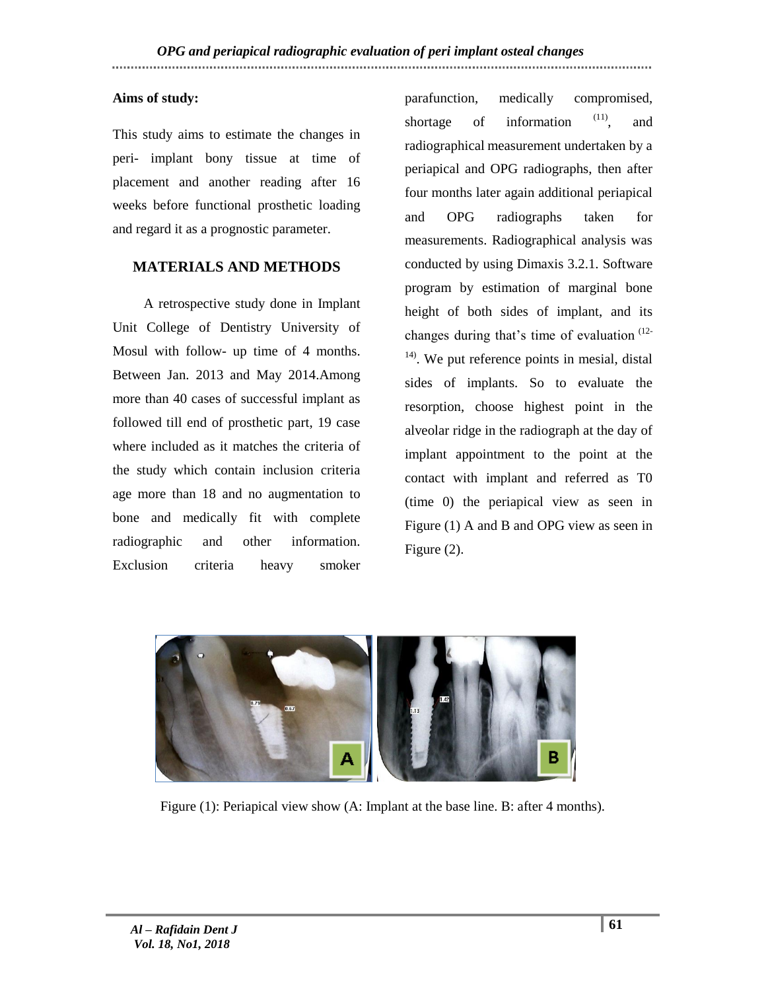## **Aims of study:**

This study aims to estimate the changes in peri- implant bony tissue at time of placement and another reading after 16 weeks before functional prosthetic loading and regard it as a prognostic parameter.

## **MATERIALS AND METHODS**

 A retrospective study done in Implant Unit College of Dentistry University of Mosul with follow- up time of 4 months. Between Jan. 2013 and May 2014.Among more than 40 cases of successful implant as followed till end of prosthetic part, 19 case where included as it matches the criteria of the study which contain inclusion criteria age more than 18 and no augmentation to bone and medically fit with complete radiographic and other information. Exclusion criteria heavy smoker

parafunction, medically compromised, shortage of information  $(11)$ , and radiographical measurement undertaken by a periapical and OPG radiographs, then after four months later again additional periapical and OPG radiographs taken for measurements. Radiographical analysis was conducted by using Dimaxis 3.2.1. Software program by estimation of marginal bone height of both sides of implant, and its changes during that's time of evaluation  $(12 14$ ). We put reference points in mesial, distal sides of implants. So to evaluate the resorption, choose highest point in the alveolar ridge in the radiograph at the day of implant appointment to the point at the contact with implant and referred as T0 (time 0) the periapical view as seen in Figure (1) A and B and OPG view as seen in Figure (2).



Figure (1): Periapical view show (A: Implant at the base line. B: after 4 months).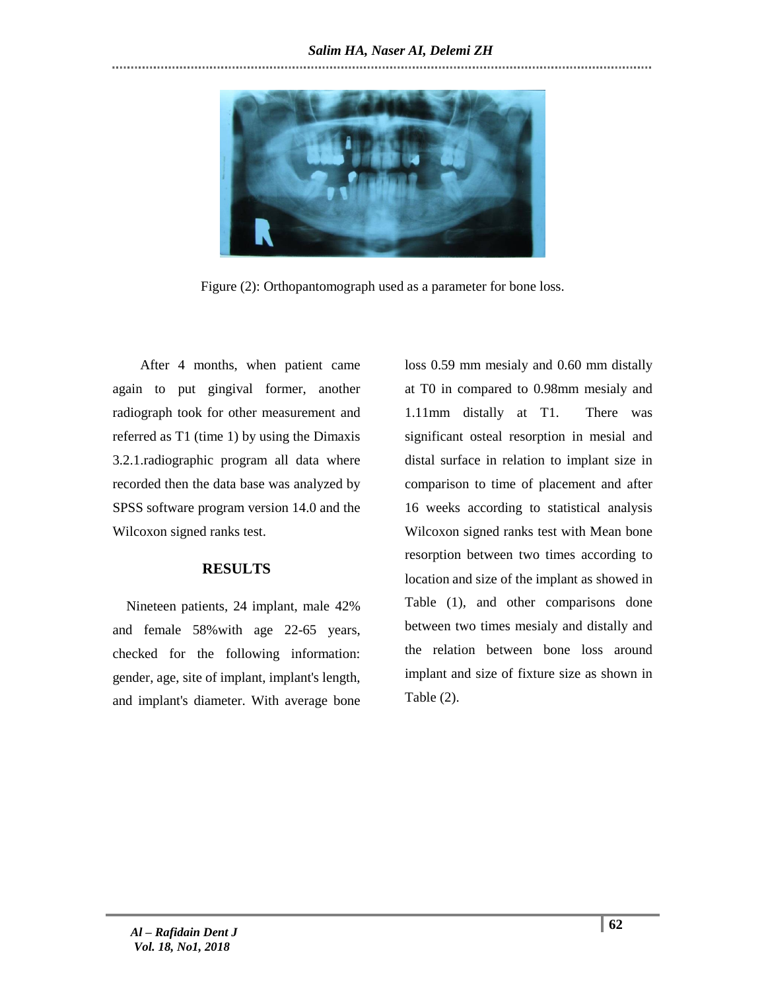

Figure (2): Orthopantomograph used as a parameter for bone loss.

 After 4 months, when patient came again to put gingival former, another radiograph took for other measurement and referred as T1 (time 1) by using the Dimaxis 3.2.1.radiographic program all data where recorded then the data base was analyzed by SPSS software program version 14.0 and the Wilcoxon signed ranks test.

## **RESULTS**

 Nineteen patients, 24 implant, male 42% and female 58%with age 22-65 years, checked for the following information: gender, age, site of implant, implant's length, and implant's diameter. With average bone loss 0.59 mm mesialy and 0.60 mm distally at T0 in compared to 0.98mm mesialy and 1.11mm distally at T1. There was significant osteal resorption in mesial and distal surface in relation to implant size in comparison to time of placement and after 16 weeks according to statistical analysis Wilcoxon signed ranks test with Mean bone resorption between two times according to location and size of the implant as showed in Table (1), and other comparisons done between two times mesialy and distally and the relation between bone loss around implant and size of fixture size as shown in Table (2).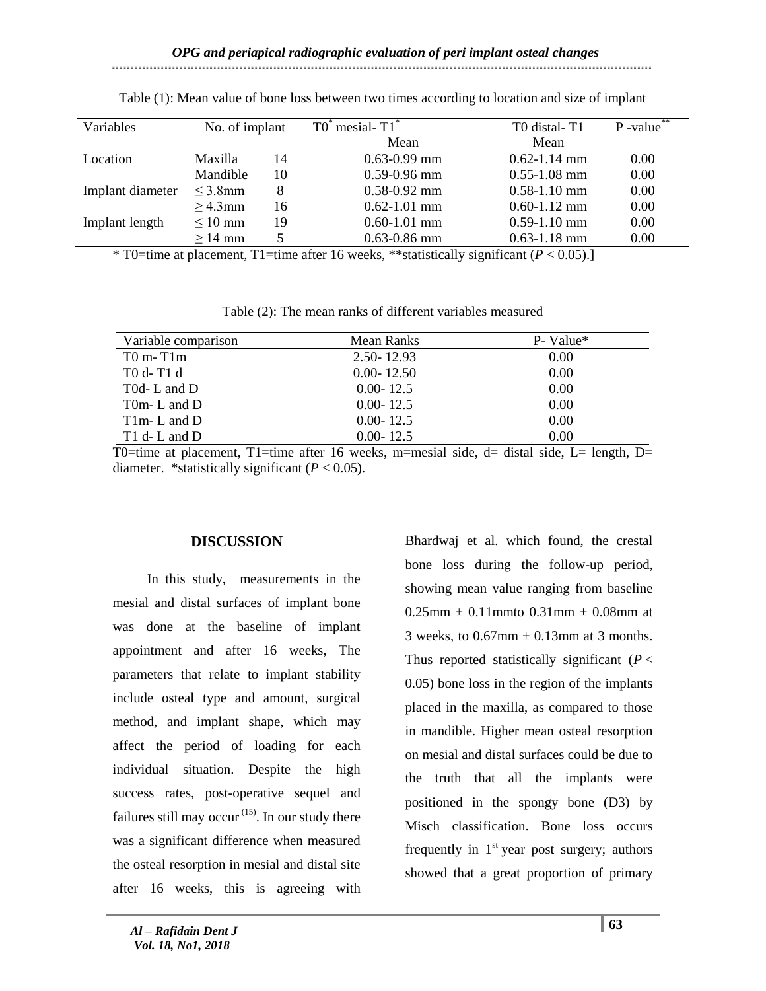#### Variables  $\overline{N}$  No. of implant  $\overline{TO}^*$  mesial- $\overline{TI}^*$ Mean T0 distal- T1 Mean  $\overline{P}$ -value<sup>\*</sup> Location Maxilla Mandible 14 10  $\overline{0.63}$ -0.99 mm 0.59-0.96 mm 0.62-1.14 mm 0.55-1.08 mm 0.00 0.00 Implant diameter  $\leq$  3.8mm  $\geq 4.3$ mm 8 16 0.58-0.92 mm 0.62-1.01 mm 0.58-1.10 mm 0.60-1.12 mm 0.00 0.00 Implant length  $\leq 10$  mm  $> 14$  mm 19 5 0.60-1.01 mm 0.63-0.86 mm 0.59-1.10 mm 0.63-1.18 mm 0.00 0.00

Table (1): Mean value of bone loss between two times according to location and size of implant

\* T0=time at placement, T1=time after 16 weeks, \*\*statistically significant (*P* < 0.05).]

| Variable comparison | Mean Ranks     | P-Value* |
|---------------------|----------------|----------|
| $T0$ m- $T1m$       | $2.50 - 12.93$ | 0.00     |
| T0 d- T1 d          | $0.00 - 12.50$ | 0.00     |
| T0d-L and D         | $0.00 - 12.5$  | 0.00     |
| T0m-L and $D$       | $0.00 - 12.5$  | 0.00     |
| T1m-L and $D$       | $0.00 - 12.5$  | 0.00     |
| T1 d-L and $D$      | $0.00 - 12.5$  | 0.00     |

T0=time at placement, T1=time after 16 weeks, m=mesial side, d= distal side, L= length, D= diameter. \*statistically significant  $(P < 0.05)$ .

## **DISCUSSION**

 In this study, measurements in the mesial and distal surfaces of implant bone was done at the baseline of implant appointment and after 16 weeks, The parameters that relate to implant stability include osteal type and amount, surgical method, and implant shape, which may affect the period of loading for each individual situation. Despite the high success rates, post-operative sequel and failures still may occur<sup> $(15)$ </sup>. In our study there was a significant difference when measured the osteal resorption in mesial and distal site after 16 weeks, this is agreeing with

Bhardwaj et al. which found, the crestal bone loss during the follow-up period, showing mean value ranging from baseline  $0.25$ mm  $\pm 0.11$ mmto  $0.31$ mm  $\pm 0.08$ mm at 3 weeks, to  $0.67$ mm  $\pm$  0.13mm at 3 months. Thus reported statistically significant  $(P <$ 0.05) bone loss in the region of the implants placed in the maxilla, as compared to those in mandible. Higher mean osteal resorption on mesial and distal surfaces could be due to the truth that all the implants were positioned in the spongy bone (D3) by Misch classification. Bone loss occurs frequently in  $1<sup>st</sup>$  year post surgery; authors showed that a great proportion of primary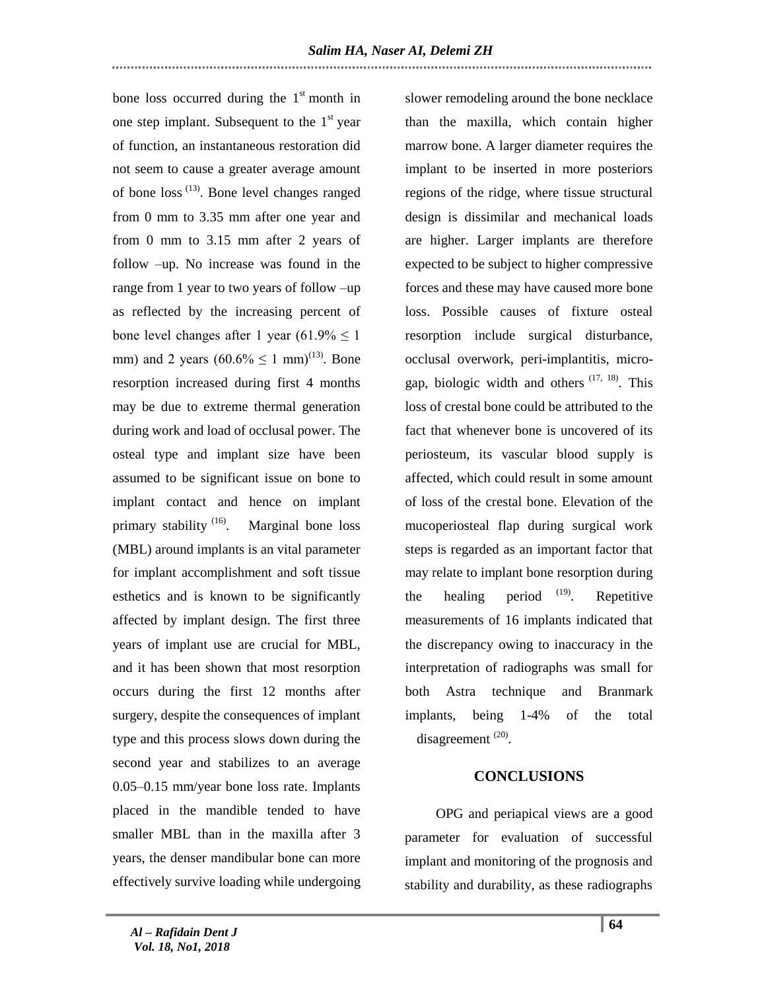bone loss occurred during the  $1<sup>st</sup>$  month in one step implant. Subsequent to the  $1<sup>st</sup>$  year of function, an instantaneous restoration did not seem to cause a greater average amount of bone loss (13). Bone level changes ranged from 0 mm to 3.35 mm after one year and from 0 mm to 3.15 mm after 2 years of follow –up. No increase was found in the range from 1 year to two years of follow –up as reflected by the increasing percent of bone level changes after 1 year  $(61.9\% \le 1)$ mm) and 2 years  $(60.6\% \le 1 \text{ mm})^{(13)}$ . Bone resorption increased during first 4 months may be due to extreme thermal generation during work and load of occlusal power. The osteal type and implant size have been assumed to be significant issue on bone to implant contact and hence on implant primary stability <sup>(16)</sup>. Marginal bone loss (MBL) around implants is an vital parameter for implant accomplishment and soft tissue esthetics and is known to be significantly affected by implant design. The first three years of implant use are crucial for MBL, and it has been shown that most resorption occurs during the first 12 months after surgery, despite the consequences of implant type and this process slows down during the second year and stabilizes to an average 0.05–0.15 mm/year bone loss rate. Implants placed in the mandible tended to have smaller MBL than in the maxilla after 3 years, the denser mandibular bone can more effectively survive loading while undergoing

slower remodeling around the bone necklace than the maxilla, which contain higher marrow bone. A larger diameter requires the implant to be inserted in more posteriors regions of the ridge, where tissue structural design is dissimilar and mechanical loads are higher. Larger implants are therefore expected to be subject to higher compressive forces and these may have caused more bone loss. Possible causes of fixture osteal resorption include surgical disturbance, occlusal overwork, peri-implantitis, microgap, biologic width and others  $(17, 18)$ . This loss of crestal bone could be attributed to the fact that whenever bone is uncovered of its periosteum, its vascular blood supply is affected, which could result in some amount of loss of the crestal bone. Elevation of the mucoperiosteal flap during surgical work steps is regarded as an important factor that may relate to implant bone resorption during the healing period  $(19)$ . Repetitive measurements of 16 implants indicated that the discrepancy owing to inaccuracy in the interpretation of radiographs was small for both Astra technique and Branmark implants, being 1-4% of the total disagreement<sup>(20)</sup>.

## **CONCLUSIONS**

 OPG and periapical views are a good parameter for evaluation of successful implant and monitoring of the prognosis and stability and durability, as these radiographs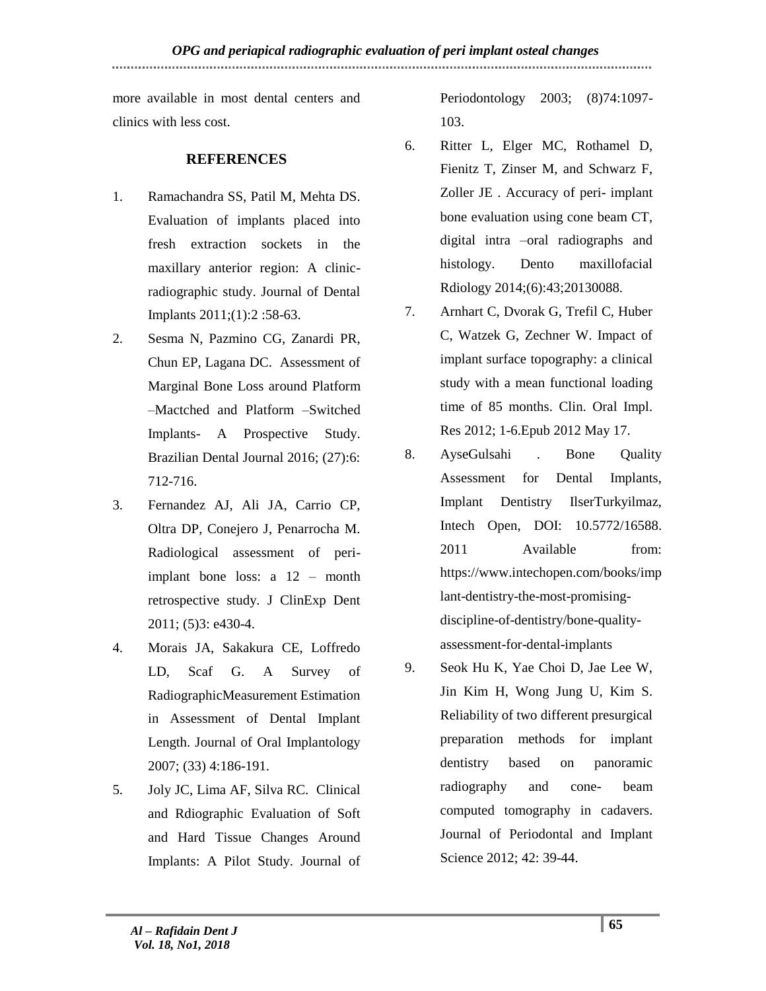more available in most dental centers and clinics with less cost.

# **REFERENCES**

- 1. Ramachandra SS, Patil M, Mehta DS. Evaluation of implants placed into fresh extraction sockets in the maxillary anterior region: A clinicradiographic study. Journal of Dental Implants 2011;(1):2 :58-63.
- 2. Sesma N, Pazmino CG, Zanardi PR, Chun EP, Lagana DC. Assessment of Marginal Bone Loss around Platform –Mactched and Platform –Switched Implants- A Prospective Study. Brazilian Dental Journal 2016; (27):6: 712-716.
- 3. Fernandez AJ, Ali JA, Carrio CP, Oltra DP, Conejero J, Penarrocha M. Radiological assessment of periimplant bone loss: a 12 – month retrospective study. J ClinExp Dent 2011; (5)3: e430-4.
- 4. Morais JA, Sakakura CE, Loffredo LD, Scaf G. A Survey of RadiographicMeasurement Estimation in Assessment of Dental Implant Length. Journal of Oral Implantology 2007; (33) 4:186-191.
- 5. Joly JC, Lima AF, Silva RC. Clinical and Rdiographic Evaluation of Soft and Hard Tissue Changes Around Implants: A Pilot Study. Journal of

Periodontology 2003; (8)74:1097- 103.

- 6. Ritter L, Elger MC, Rothamel D, Fienitz T, Zinser M, and Schwarz F, Zoller JE . Accuracy of peri- implant bone evaluation using cone beam CT, digital intra –oral radiographs and histology. Dento maxillofacial Rdiology 2014;(6):43;20130088.
- 7. Arnhart C, Dvorak G, Trefil C, Huber C, Watzek G, Zechner W. Impact of implant surface topography: a clinical study with a mean functional loading time of 85 months. Clin. Oral Impl. Res 2012; 1-6.Epub 2012 May 17.
- 8. AyseGulsahi . Bone Quality Assessment for Dental Implants, Implant Dentistry IlserTurkyilmaz, Intech Open, DOI: 10.5772/16588. 2011 Available from: [https://www.intechopen.com/books/imp](https://www.intechopen.com/books/implant-dentistry-the-most-promising-discipline-of-dentistry/bone-quality-assessment-for-dental-implants) [lant-dentistry-the-most-promising](https://www.intechopen.com/books/implant-dentistry-the-most-promising-discipline-of-dentistry/bone-quality-assessment-for-dental-implants)[discipline-of-dentistry/bone-quality](https://www.intechopen.com/books/implant-dentistry-the-most-promising-discipline-of-dentistry/bone-quality-assessment-for-dental-implants)[assessment-for-dental-implants](https://www.intechopen.com/books/implant-dentistry-the-most-promising-discipline-of-dentistry/bone-quality-assessment-for-dental-implants)
- 9. Seok Hu K, Yae Choi D, Jae Lee W, Jin Kim H, Wong Jung U, Kim S. Reliability of two different presurgical preparation methods for implant dentistry based on panoramic radiography and cone- beam computed tomography in cadavers. Journal of Periodontal and Implant Science 2012; 42: 39-44.